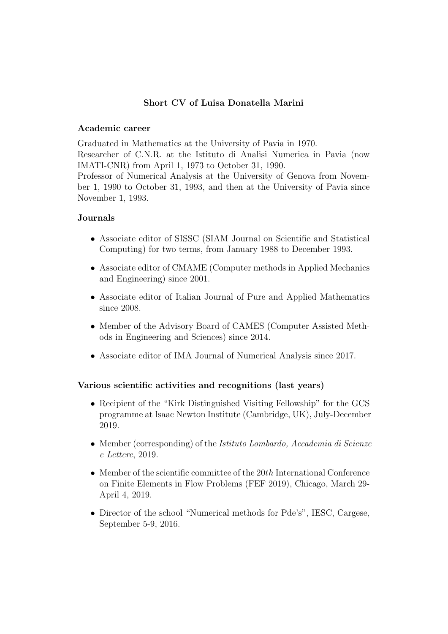# Short CV of Luisa Donatella Marini

# Academic career

Graduated in Mathematics at the University of Pavia in 1970. Researcher of C.N.R. at the Istituto di Analisi Numerica in Pavia (now IMATI-CNR) from April 1, 1973 to October 31, 1990.

Professor of Numerical Analysis at the University of Genova from November 1, 1990 to October 31, 1993, and then at the University of Pavia since November 1, 1993.

# Journals

- Associate editor of SISSC (SIAM Journal on Scientific and Statistical Computing) for two terms, from January 1988 to December 1993.
- Associate editor of CMAME (Computer methods in Applied Mechanics and Engineering) since 2001.
- Associate editor of Italian Journal of Pure and Applied Mathematics since 2008.
- Member of the Advisory Board of CAMES (Computer Assisted Methods in Engineering and Sciences) since 2014.
- Associate editor of IMA Journal of Numerical Analysis since 2017.

# Various scientific activities and recognitions (last years)

- Recipient of the "Kirk Distinguished Visiting Fellowship" for the GCS programme at Isaac Newton Institute (Cambridge, UK), July-December 2019.
- Member (corresponding) of the *Istituto Lombardo, Accademia di Scienze* e Lettere, 2019.
- Member of the scientific committee of the  $20th$  International Conference on Finite Elements in Flow Problems (FEF 2019), Chicago, March 29- April 4, 2019.
- Director of the school "Numerical methods for Pde's", IESC, Cargese, September 5-9, 2016.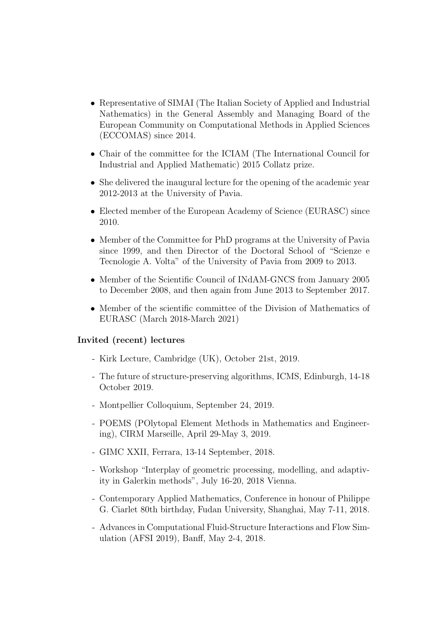- Representative of SIMAI (The Italian Society of Applied and Industrial Nathematics) in the General Assembly and Managing Board of the European Community on Computational Methods in Applied Sciences (ECCOMAS) since 2014.
- Chair of the committee for the ICIAM (The International Council for Industrial and Applied Mathematic) 2015 Collatz prize.
- She delivered the inaugural lecture for the opening of the academic year 2012-2013 at the University of Pavia.
- Elected member of the European Academy of Science (EURASC) since 2010.
- Member of the Committee for PhD programs at the University of Pavia since 1999, and then Director of the Doctoral School of "Scienze e Tecnologie A. Volta" of the University of Pavia from 2009 to 2013.
- Member of the Scientific Council of INdAM-GNCS from January 2005 to December 2008, and then again from June 2013 to September 2017.
- Member of the scientific committee of the Division of Mathematics of EURASC (March 2018-March 2021)

#### Invited (recent) lectures

- Kirk Lecture, Cambridge (UK), October 21st, 2019.
- The future of structure-preserving algorithms, ICMS, Edinburgh, 14-18 October 2019.
- Montpellier Colloquium, September 24, 2019.
- POEMS (POlytopal Element Methods in Mathematics and Engineering), CIRM Marseille, April 29-May 3, 2019.
- GIMC XXII, Ferrara, 13-14 September, 2018.
- Workshop "Interplay of geometric processing, modelling, and adaptivity in Galerkin methods", July 16-20, 2018 Vienna.
- Contemporary Applied Mathematics, Conference in honour of Philippe G. Ciarlet 80th birthday, Fudan University, Shanghai, May 7-11, 2018.
- Advances in Computational Fluid-Structure Interactions and Flow Simulation (AFSI 2019), Banff, May 2-4, 2018.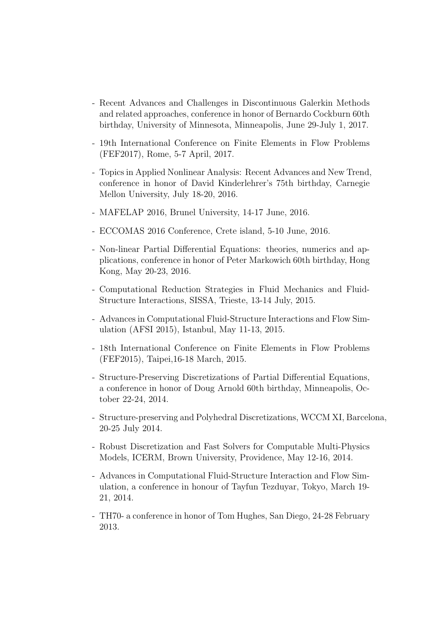- Recent Advances and Challenges in Discontinuous Galerkin Methods and related approaches, conference in honor of Bernardo Cockburn 60th birthday, University of Minnesota, Minneapolis, June 29-July 1, 2017.
- 19th International Conference on Finite Elements in Flow Problems (FEF2017), Rome, 5-7 April, 2017.
- Topics in Applied Nonlinear Analysis: Recent Advances and New Trend, conference in honor of David Kinderlehrer's 75th birthday, Carnegie Mellon University, July 18-20, 2016.
- MAFELAP 2016, Brunel University, 14-17 June, 2016.
- ECCOMAS 2016 Conference, Crete island, 5-10 June, 2016.
- Non-linear Partial Differential Equations: theories, numerics and applications, conference in honor of Peter Markowich 60th birthday, Hong Kong, May 20-23, 2016.
- Computational Reduction Strategies in Fluid Mechanics and Fluid-Structure Interactions, SISSA, Trieste, 13-14 July, 2015.
- Advances in Computational Fluid-Structure Interactions and Flow Simulation (AFSI 2015), Istanbul, May 11-13, 2015.
- 18th International Conference on Finite Elements in Flow Problems (FEF2015), Taipei,16-18 March, 2015.
- Structure-Preserving Discretizations of Partial Differential Equations, a conference in honor of Doug Arnold 60th birthday, Minneapolis, October 22-24, 2014.
- Structure-preserving and Polyhedral Discretizations, WCCM XI, Barcelona, 20-25 July 2014.
- Robust Discretization and Fast Solvers for Computable Multi-Physics Models, ICERM, Brown University, Providence, May 12-16, 2014.
- Advances in Computational Fluid-Structure Interaction and Flow Simulation, a conference in honour of Tayfun Tezduyar, Tokyo, March 19- 21, 2014.
- TH70- a conference in honor of Tom Hughes, San Diego, 24-28 February 2013.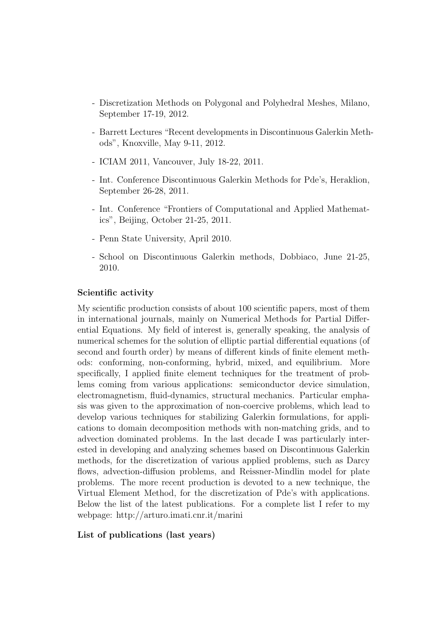- Discretization Methods on Polygonal and Polyhedral Meshes, Milano, September 17-19, 2012.
- Barrett Lectures "Recent developments in Discontinuous Galerkin Methods", Knoxville, May 9-11, 2012.
- ICIAM 2011, Vancouver, July 18-22, 2011.
- Int. Conference Discontinuous Galerkin Methods for Pde's, Heraklion, September 26-28, 2011.
- Int. Conference "Frontiers of Computational and Applied Mathematics", Beijing, October 21-25, 2011.
- Penn State University, April 2010.
- School on Discontinuous Galerkin methods, Dobbiaco, June 21-25, 2010.

#### Scientific activity

My scientific production consists of about 100 scientific papers, most of them in international journals, mainly on Numerical Methods for Partial Differential Equations. My field of interest is, generally speaking, the analysis of numerical schemes for the solution of elliptic partial differential equations (of second and fourth order) by means of different kinds of finite element methods: conforming, non-conforming, hybrid, mixed, and equilibrium. More specifically, I applied finite element techniques for the treatment of problems coming from various applications: semiconductor device simulation, electromagnetism, fluid-dynamics, structural mechanics. Particular emphasis was given to the approximation of non-coercive problems, which lead to develop various techniques for stabilizing Galerkin formulations, for applications to domain decomposition methods with non-matching grids, and to advection dominated problems. In the last decade I was particularly interested in developing and analyzing schemes based on Discontinuous Galerkin methods, for the discretization of various applied problems, such as Darcy flows, advection-diffusion problems, and Reissner-Mindlin model for plate problems. The more recent production is devoted to a new technique, the Virtual Element Method, for the discretization of Pde's with applications. Below the list of the latest publications. For a complete list I refer to my webpage: http://arturo.imati.cnr.it/marini

#### List of publications (last years)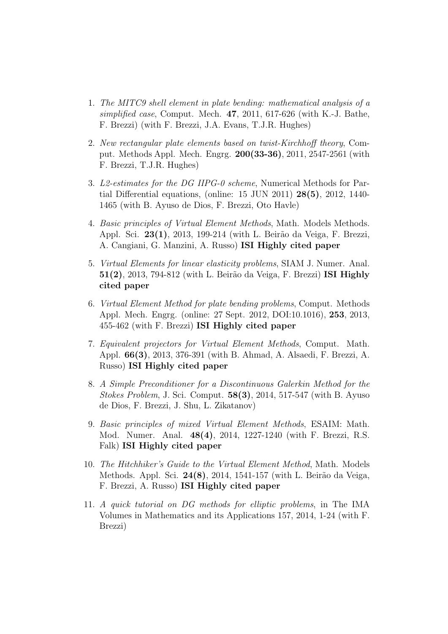- 1. The MITC9 shell element in plate bending: mathematical analysis of a simplified case, Comput. Mech. 47, 2011, 617-626 (with K.-J. Bathe, F. Brezzi) (with F. Brezzi, J.A. Evans, T.J.R. Hughes)
- 2. New rectangular plate elements based on twist-Kirchhoff theory, Comput. Methods Appl. Mech. Engrg. 200(33-36), 2011, 2547-2561 (with F. Brezzi, T.J.R. Hughes)
- 3. L2-estimates for the DG IIPG-0 scheme, Numerical Methods for Partial Differential equations, (online: 15 JUN 2011) 28(5), 2012, 1440- 1465 (with B. Ayuso de Dios, F. Brezzi, Oto Havle)
- 4. Basic principles of Virtual Element Methods, Math. Models Methods. Appl. Sci. 23(1), 2013, 199-214 (with L. Beirão da Veiga, F. Brezzi, A. Cangiani, G. Manzini, A. Russo) ISI Highly cited paper
- 5. Virtual Elements for linear elasticity problems, SIAM J. Numer. Anal.  $51(2)$ , 2013, 794-812 (with L. Beirão da Veiga, F. Brezzi) ISI Highly cited paper
- 6. Virtual Element Method for plate bending problems, Comput. Methods Appl. Mech. Engrg. (online: 27 Sept. 2012, DOI:10.1016), 253, 2013, 455-462 (with F. Brezzi) ISI Highly cited paper
- 7. Equivalent projectors for Virtual Element Methods, Comput. Math. Appl. 66(3), 2013, 376-391 (with B. Ahmad, A. Alsaedi, F. Brezzi, A. Russo) ISI Highly cited paper
- 8. A Simple Preconditioner for a Discontinuous Galerkin Method for the Stokes Problem, J. Sci. Comput. 58(3), 2014, 517-547 (with B. Ayuso de Dios, F. Brezzi, J. Shu, L. Zikatanov)
- 9. Basic principles of mixed Virtual Element Methods, ESAIM: Math. Mod. Numer. Anal. 48(4), 2014, 1227-1240 (with F. Brezzi, R.S. Falk) ISI Highly cited paper
- 10. The Hitchhiker's Guide to the Virtual Element Method, Math. Models Methods. Appl. Sci. 24(8), 2014, 1541-157 (with L. Beirão da Veiga, F. Brezzi, A. Russo) ISI Highly cited paper
- 11. A quick tutorial on DG methods for elliptic problems, in The IMA Volumes in Mathematics and its Applications 157, 2014, 1-24 (with F. Brezzi)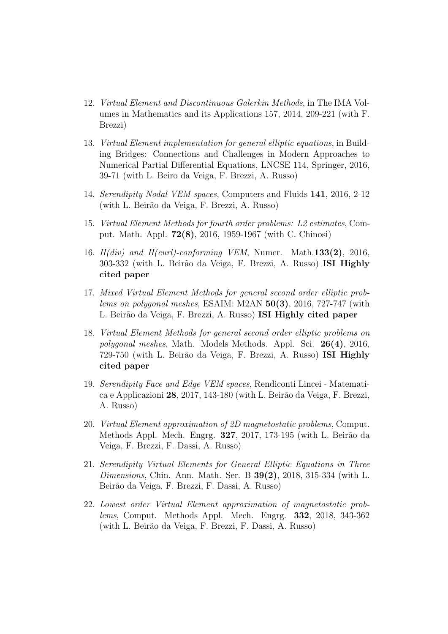- 12. Virtual Element and Discontinuous Galerkin Methods, in The IMA Volumes in Mathematics and its Applications 157, 2014, 209-221 (with F. Brezzi)
- 13. Virtual Element implementation for general elliptic equations, in Building Bridges: Connections and Challenges in Modern Approaches to Numerical Partial Differential Equations, LNCSE 114, Springer, 2016, 39-71 (with L. Beiro da Veiga, F. Brezzi, A. Russo)
- 14. Serendipity Nodal VEM spaces, Computers and Fluids 141, 2016, 2-12 (with L. Beir˜ao da Veiga, F. Brezzi, A. Russo)
- 15. Virtual Element Methods for fourth order problems: L2 estimates, Comput. Math. Appl. 72(8), 2016, 1959-1967 (with C. Chinosi)
- 16.  $H(div)$  and  $H(curl)$ -conforming VEM, Numer. Math.133(2), 2016, 303-332 (with L. Beirão da Veiga, F. Brezzi, A. Russo) **ISI Highly** cited paper
- 17. Mixed Virtual Element Methods for general second order elliptic problems on polygonal meshes, ESAIM:  $M2AN$  50(3), 2016, 727-747 (with L. Beir˜ao da Veiga, F. Brezzi, A. Russo) ISI Highly cited paper
- 18. Virtual Element Methods for general second order elliptic problems on polygonal meshes, Math. Models Methods. Appl. Sci. 26(4), 2016, 729-750 (with L. Beirão da Veiga, F. Brezzi, A. Russo) ISI Highly cited paper
- 19. Serendipity Face and Edge VEM spaces, Rendiconti Lincei Matematica e Applicazioni 28, 2017, 143-180 (with L. Beirão da Veiga, F. Brezzi, A. Russo)
- 20. Virtual Element approximation of 2D magnetostatic problems, Comput. Methods Appl. Mech. Engrg. **327**, 2017, 173-195 (with L. Beirão da Veiga, F. Brezzi, F. Dassi, A. Russo)
- 21. Serendipity Virtual Elements for General Elliptic Equations in Three Dimensions, Chin. Ann. Math. Ser. B  $39(2)$ , 2018, 315-334 (with L. Beir˜ao da Veiga, F. Brezzi, F. Dassi, A. Russo)
- 22. Lowest order Virtual Element approximation of magnetostatic problems, Comput. Methods Appl. Mech. Engrg. 332, 2018, 343-362 (with L. Beir˜ao da Veiga, F. Brezzi, F. Dassi, A. Russo)